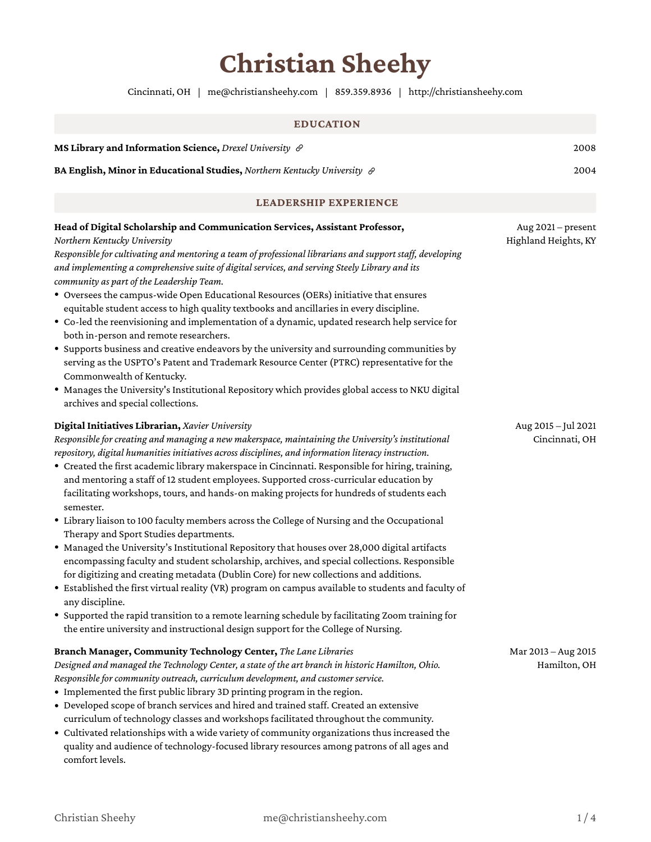# **Christian Sheehy**

Cincinnati, OH | [me@christiansheehy.com](mailto:me@christiansheehy.com) | [859.359.8936](tel:859.359.8936) | http://christiansheehy.com

# **EDUCATION MS Library and [Information](https://drexel.edu/) Science,** *Drexel University* 2008 **BA English, Minor in [Educational](https://www.nku.edu/) Studies,** *Northern Kentucky University* 2004

#### **LEADERSHIP EXPERIENCE**

| Head of Digital Scholarship and Communication Services, Assistant Professor,<br>Northern Kentucky University<br>Responsible for cultivating and mentoring a team of professional librarians and support staff, developing<br>and implementing a comprehensive suite of digital services, and serving Steely Library and its<br>community as part of the Leadership Team.<br>• Oversees the campus-wide Open Educational Resources (OERs) initiative that ensures<br>equitable student access to high quality textbooks and ancillaries in every discipline.<br>• Co-led the reenvisioning and implementation of a dynamic, updated research help service for<br>both in-person and remote researchers.<br>• Supports business and creative endeavors by the university and surrounding communities by<br>serving as the USPTO's Patent and Trademark Resource Center (PTRC) representative for the<br>Commonwealth of Kentucky.<br>• Manages the University's Institutional Repository which provides global access to NKU digital<br>archives and special collections.                                                                                                                                                                                                                                                       | Aug 2021 - present<br>Highland Heights, KY |
|-------------------------------------------------------------------------------------------------------------------------------------------------------------------------------------------------------------------------------------------------------------------------------------------------------------------------------------------------------------------------------------------------------------------------------------------------------------------------------------------------------------------------------------------------------------------------------------------------------------------------------------------------------------------------------------------------------------------------------------------------------------------------------------------------------------------------------------------------------------------------------------------------------------------------------------------------------------------------------------------------------------------------------------------------------------------------------------------------------------------------------------------------------------------------------------------------------------------------------------------------------------------------------------------------------------------------------|--------------------------------------------|
| Digital Initiatives Librarian, Xavier University<br>Responsible for creating and managing a new makerspace, maintaining the University's institutional<br>repository, digital humanities initiatives across disciplines, and information literacy instruction.<br>• Created the first academic library makerspace in Cincinnati. Responsible for hiring, training,<br>and mentoring a staff of 12 student employees. Supported cross-curricular education by<br>facilitating workshops, tours, and hands-on making projects for hundreds of students each<br>semester.<br>• Library liaison to 100 faculty members across the College of Nursing and the Occupational<br>Therapy and Sport Studies departments.<br>· Managed the University's Institutional Repository that houses over 28,000 digital artifacts<br>encompassing faculty and student scholarship, archives, and special collections. Responsible<br>for digitizing and creating metadata (Dublin Core) for new collections and additions.<br>• Established the first virtual reality (VR) program on campus available to students and faculty of<br>any discipline.<br>• Supported the rapid transition to a remote learning schedule by facilitating Zoom training for<br>the entire university and instructional design support for the College of Nursing. | Aug 2015 - Jul 2021<br>Cincinnati, OH      |
| Branch Manager, Community Technology Center, The Lane Libraries<br>Designed and managed the Technology Center, a state of the art branch in historic Hamilton, Ohio.<br>Responsible for community outreach, curriculum development, and customer service.<br>• Implemented the first public library 3D printing program in the region.<br>• Developed scope of branch services and hired and trained staff. Created an extensive<br>curriculum of technology classes and workshops facilitated throughout the community.<br>• Cultivated relationships with a wide variety of community organizations thus increased the<br>quality and audience of technology-focused library resources among patrons of all ages and<br>comfort levels.                                                                                                                                                                                                                                                                                                                                                                                                                                                                                                                                                                                     | Mar 2013 - Aug 2015<br>Hamilton, OH        |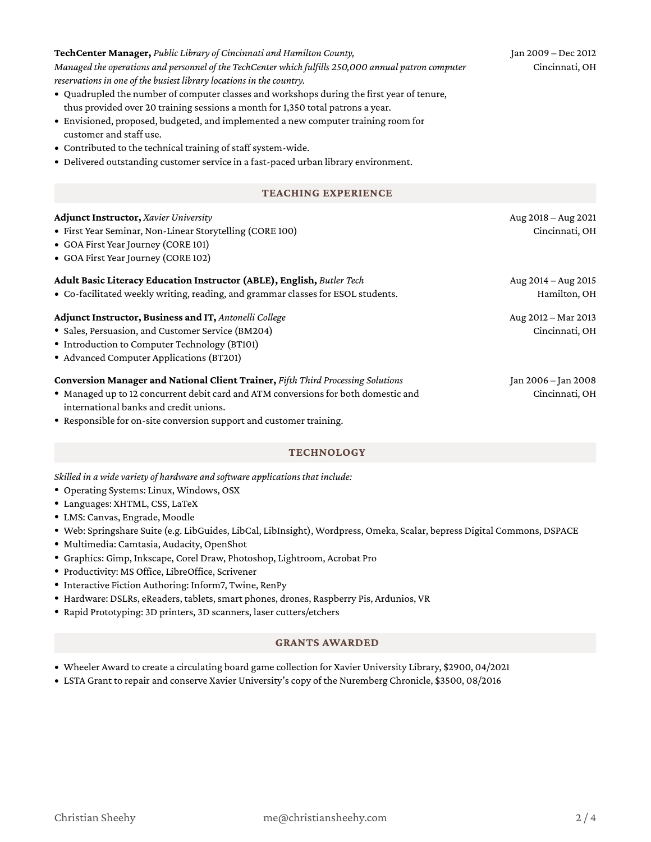| • Graphics: Gimp, Inkscape, Corel Draw, Photoshop, Lightroom, Ao    |
|---------------------------------------------------------------------|
| · Productivity: MS Office, LibreOffice, Scrivener                   |
| • Interactive Fiction Authoring: Inform7, Twine, RenPy              |
| • Hardware: DSLRs, eReaders, tablets, smart phones, drones, Raspl   |
| • Rapid Prototyping: 3D printers, 3D scanners, laser cutters/etcher |
| <b>GRANTS AV</b>                                                    |

### Wheeler Award to create a circulating board game collection for Xavier University Library, \$2900, 04/2021

LSTA Grant to repair and conserve Xavier University's copy of the Nuremberg Chronicle, \$3500, 08/2016

**TechCenter Manager,** *Public Library of Cincinnati and Hamilton County, Managed the operations and personnel of the TechCenter which fulfills 250,000 annual patron computer reservations in one of the busiest library locations in thecountry.*

- Quadrupled the number of computer classes and workshops during the first year of tenure, thus provided over 20 training sessions a month for 1,350 total patrons a year.
- Envisioned, proposed, budgeted, and implemented a new computer training room for customer and staff use.
- Contributed to the technical training of staff system-wide.
- Delivered outstanding customer service in a fast-paced urban library environment.

# **TEACHING EXPERIENCE**

### **Adjunct Instructor,** *Xavier University*

- First Year Seminar, Non-Linear Storytelling (CORE 100)
- GOA First Year Journey (CORE 101)
- GOA First Year Journey (CORE 102)

# **Adult Basic Literacy Education Instructor (ABLE), English,** *Butler Tech*

Co-facilitated weekly writing, reading, and grammar classesfor ESOL students.

# **Adjunct Instructor, Business and IT,** *Antonelli College*

- Sales, Persuasion, and Customer Service (BM204)
- Introduction to Computer Technology (BT101)
- Advanced Computer Applications(BT201)

## **Conversion Manager and National Client Trainer,** *Fifth Third Processing Solutions*

- Managed up to 12 concurrent debit card and ATM conversions for both domestic and international banks and credit unions.
- Responsible for on-site conversion support and customer training.

## **TECHNOLOGY**

*Skilled in a wide variety of hardware and software applications that include:*

- Operating Systems: Linux, Windows, OSX
- Languages: XHTML, CSS, LaTeX
- LMS: Canvas, Engrade, Moodle
- Web: Springshare Suite (e.g. LibGuides, LibCal, LibInsight), Wordpress, Omeka, Scalar, bepress Digital Commons, DSPACE
- Multimedia: Camtasia, Audacity, OpenShot
- crobat Pro
- berry Pis, Ardunios, VR
- Rapid Prototyping: 3D printers, 3D scanners, laser cutters/etchers

# **GRANTS AWARDED**

Cincinnati, OH

Aug 2018 – Aug 2021

Aug 2014 – Aug 2015 Hamilton, OH

Aug 2012 – Mar 2013 Cincinnati, OH

Jan 2006 – Jan 2008 Cincinnati, OH

Jan 2009 – Dec 2012 Cincinnati, OH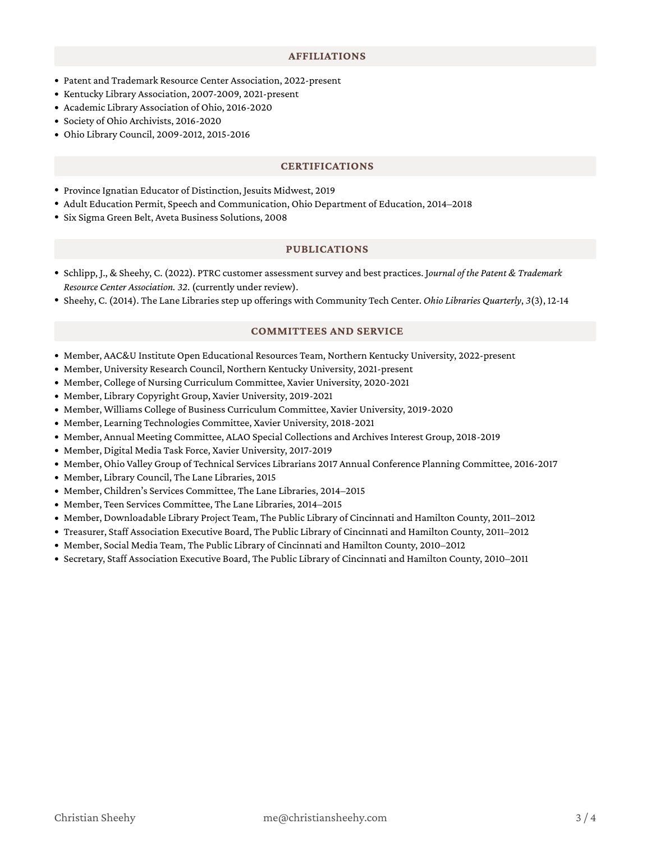#### **AFFILIATIONS**

- Patent and Trademark Resource Center Association, 2022-present
- Kentucky Library Association, 2007-2009, 2021-present
- Academic Library Association of Ohio, 2016-2020
- Society of Ohio Archivists, 2016-2020
- Ohio Library Council, 2009-2012, 2015-2016

#### **CERTIFICATIONS**

- Province Ignatian Educator of Distinction, Jesuits Midwest, 2019
- Adult Education Permit, Speech and Communication, Ohio Department of Education, 2014–2018
- Six Sigma Green Belt, Aveta Business Solutions, 2008

#### **PUBLICATIONS**

- Schlipp, J., & Sheehy, C. (2022). PTRC customer assessmentsurvey and best practices. J*ournal of the Patent & Trademark Resource Center Association. 32*. (currently under review).
- Sheehy, C. (2014). The Lane Librariesstep up offerings with Community Tech Center. *Ohio Libraries Quarterly*, *3*(3), 12-14

#### **COMMITTEES AND SERVICE**

- Member, AAC&U Institute Open Educational Resources Team, Northern Kentucky University, 2022-present
- Member, University Research Council, Northern Kentucky University, 2021-present
- Member, College of Nursing Curriculum Committee, Xavier University, 2020-2021
- Member, Library Copyright Group, Xavier University, 2019-2021
- Member, Williams College of Business Curriculum Committee, Xavier University, 2019-2020
- Member, Learning Technologies Committee, Xavier University, 2018-2021
- Member, Annual Meeting Committee, ALAO Special Collections and Archives Interest Group, 2018-2019
- Member, Digital Media Task Force, Xavier University, 2017-2019
- Member, Ohio Valley Group of Technical Services Librarians 2017 Annual Conference Planning Committee, 2016-2017
- Member, Library Council, The Lane Libraries, 2015
- Member, Children's Services Committee, The Lane Libraries, 2014–2015
- Member, Teen Services Committee, The Lane Libraries, 2014–2015
- Member, Downloadable Library Project Team, The Public Library of Cincinnati and Hamilton County, 2011–2012
- Treasurer, Staff Association Executive Board, The Public Library of Cincinnati and Hamilton County, 2011–2012
- Member, Social Media Team, The Public Library of Cincinnati and Hamilton County, 2010–2012
- Secretary, Staff Association Executive Board, The Public Library of Cincinnati and Hamilton County, 2010–2011